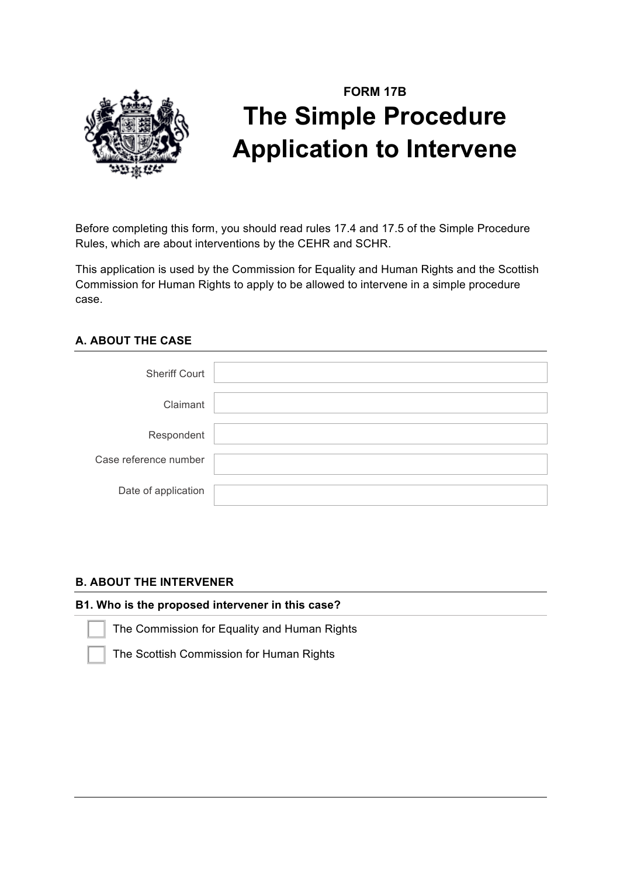

# **FORM 17B The Simple Procedure Application to Intervene**

Before completing this form, you should read rules 17.4 and 17.5 of the Simple Procedure Rules, which are about interventions by the CEHR and SCHR.

This application is used by the Commission for Equality and Human Rights and the Scottish Commission for Human Rights to apply to be allowed to intervene in a simple procedure case.

# **A. ABOUT THE CASE**

| <b>Sheriff Court</b>  |  |
|-----------------------|--|
| Claimant              |  |
| Respondent            |  |
| Case reference number |  |
| Date of application   |  |

# **B. ABOUT THE INTERVENER**

# **B1. Who is the proposed intervener in this case?**

The Commission for Equality and Human Rights

The Scottish Commission for Human Rights